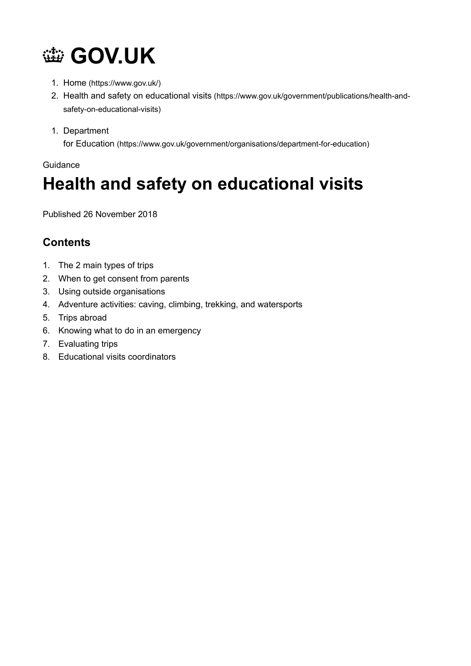

- 1. Home (https://www.gov.uk/)
- 2. Health and safety on educational visits (https://www.gov.uk/government/publications/health-andsafety-on-educational-visits)
- 1. Department

for Education (https://www.gov.uk/government/organisations/department-for-education)

#### Guidance

# Health and safety on educational visits

Published 26 November 2018

# **Contents**

- 1. The 2 main types of trips
- 2. When to get consent from parents
- 3. Using outside organisations
- 4. Adventure activities: caving, climbing, trekking, and watersports
- 5. Trips abroad
- 6. Knowing what to do in an emergency
- 7. Evaluating trips
- 8. Educational visits coordinators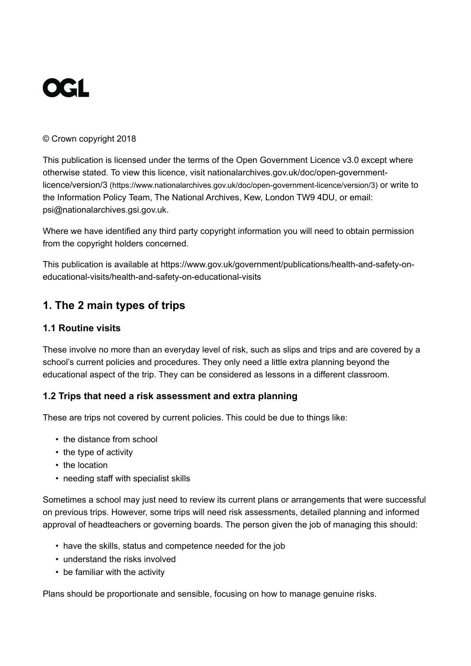# **OGL**

#### © Crown copyright 2018

This publication is licensed under the terms of the Open Government Licence v3.0 except where otherwise stated. To view this licence, visit nationalarchives.gov.uk/doc/open-governmentlicence/version/3 (https://www.nationalarchives.gov.uk/doc/open-government-licence/version/3) or write to the Information Policy Team, The National Archives, Kew, London TW9 4DU, or email: psi@nationalarchives.gsi.gov.uk.

Where we have identified any third party copyright information you will need to obtain permission from the copyright holders concerned.

This publication is available at https://www.gov.uk/government/publications/health-and-safety-oneducational-visits/health-and-safety-on-educational-visits

# 1. The 2 main types of trips

#### 1.1 Routine visits

These involve no more than an everyday level of risk, such as slips and trips and are covered by a school's current policies and procedures. They only need a little extra planning beyond the educational aspect of the trip. They can be considered as lessons in a different classroom.

#### 1.2 Trips that need a risk assessment and extra planning

These are trips not covered by current policies. This could be due to things like:

- the distance from school
- the type of activity
- the location
- needing staff with specialist skills

Sometimes a school may just need to review its current plans or arrangements that were successful on previous trips. However, some trips will need risk assessments, detailed planning and informed approval of headteachers or governing boards. The person given the job of managing this should:

- have the skills, status and competence needed for the job
- understand the risks involved
- be familiar with the activity

Plans should be proportionate and sensible, focusing on how to manage genuine risks.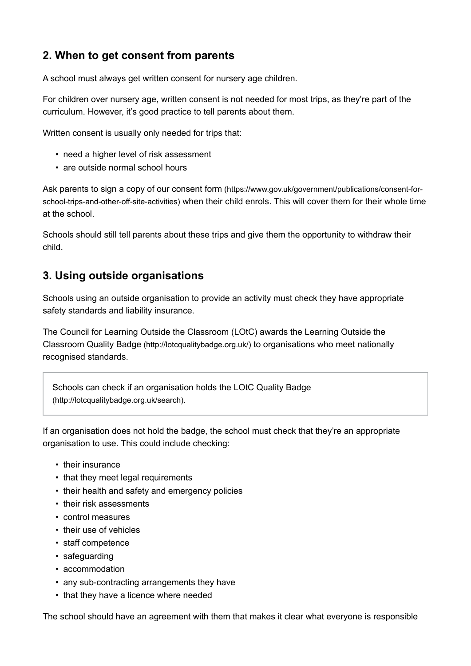## 2. When to get consent from parents

A school must always get written consent for nursery age children.

For children over nursery age, written consent is not needed for most trips, as they're part of the curriculum. However, it's good practice to tell parents about them.

Written consent is usually only needed for trips that:

- need a higher level of risk assessment
- are outside normal school hours

Ask parents to sign a copy of our consent form (https://www.gov.uk/government/publications/consent-forschool-trips-and-other-off-site-activities) when their child enrols. This will cover them for their whole time at the school.

Schools should still tell parents about these trips and give them the opportunity to withdraw their child.

#### 3. Using outside organisations

Schools using an outside organisation to provide an activity must check they have appropriate safety standards and liability insurance.

The Council for Learning Outside the Classroom (LOtC) awards the Learning Outside the Classroom Quality Badge (http://lotcqualitybadge.org.uk/) to organisations who meet nationally recognised standards.

Schools can check if an organisation holds the LOtC Quality Badge (http://lotcqualitybadge.org.uk/search).

If an organisation does not hold the badge, the school must check that they're an appropriate organisation to use. This could include checking:

- their insurance
- that they meet legal requirements
- their health and safety and emergency policies
- their risk assessments
- control measures
- their use of vehicles
- staff competence
- safeguarding
- accommodation
- any sub-contracting arrangements they have
- that they have a licence where needed

The school should have an agreement with them that makes it clear what everyone is responsible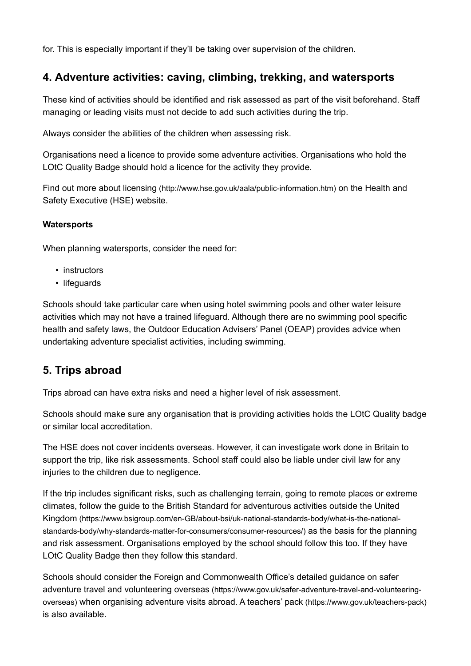for. This is especially important if they'll be taking over supervision of the children.

#### 4. Adventure activities: caving, climbing, trekking, and watersports

These kind of activities should be identified and risk assessed as part of the visit beforehand. Staff managing or leading visits must not decide to add such activities during the trip.

Always consider the abilities of the children when assessing risk.

Organisations need a licence to provide some adventure activities. Organisations who hold the LOtC Quality Badge should hold a licence for the activity they provide.

Find out more about licensing (http://www.hse.gov.uk/aala/public-information.htm) on the Health and Safety Executive (HSE) website.

#### **Watersports**

When planning watersports, consider the need for:

- instructors
- lifeguards

Schools should take particular care when using hotel swimming pools and other water leisure activities which may not have a trained lifeguard. Although there are no swimming pool specific health and safety laws, the Outdoor Education Advisers' Panel (OEAP) provides advice when undertaking adventure specialist activities, including swimming.

#### 5. Trips abroad

Trips abroad can have extra risks and need a higher level of risk assessment.

Schools should make sure any organisation that is providing activities holds the LOtC Quality badge or similar local accreditation.

The HSE does not cover incidents overseas. However, it can investigate work done in Britain to support the trip, like risk assessments. School staff could also be liable under civil law for any injuries to the children due to negligence.

If the trip includes significant risks, such as challenging terrain, going to remote places or extreme climates, follow the guide to the British Standard for adventurous activities outside the United Kingdom (https://www.bsigroup.com/en-GB/about-bsi/uk-national-standards-body/what-is-the-nationalstandards-body/why-standards-matter-for-consumers/consumer-resources/) as the basis for the planning and risk assessment. Organisations employed by the school should follow this too. If they have LOtC Quality Badge then they follow this standard.

Schools should consider the Foreign and Commonwealth Office's detailed guidance on safer adventure travel and volunteering overseas (https://www.gov.uk/safer-adventure-travel-and-volunteeringoverseas) when organising adventure visits abroad. A teachers' pack (https://www.gov.uk/teachers-pack) is also available.